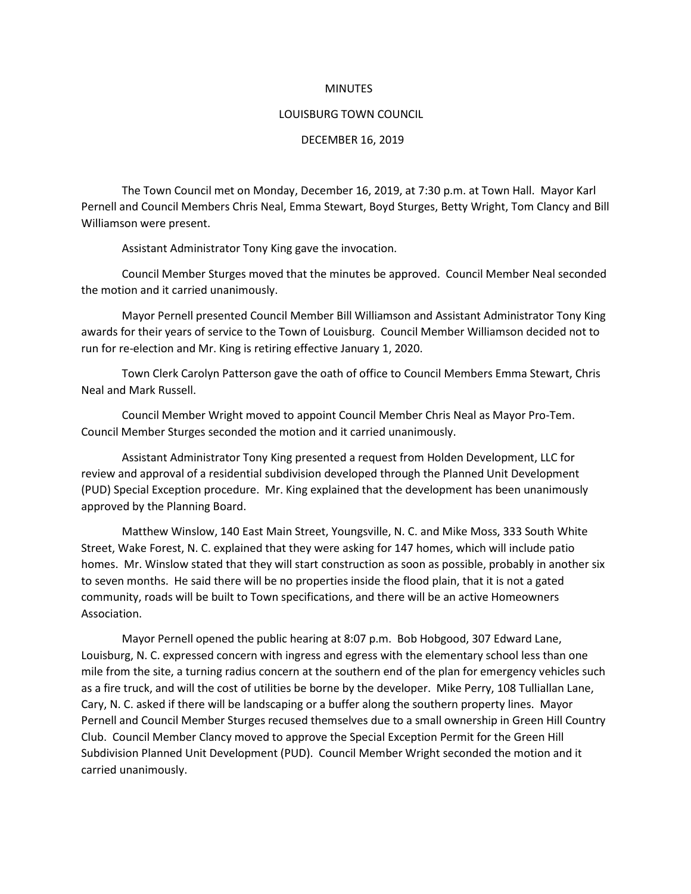## **MINUTES**

## LOUISBURG TOWN COUNCIL

## DECEMBER 16, 2019

The Town Council met on Monday, December 16, 2019, at 7:30 p.m. at Town Hall. Mayor Karl Pernell and Council Members Chris Neal, Emma Stewart, Boyd Sturges, Betty Wright, Tom Clancy and Bill Williamson were present.

Assistant Administrator Tony King gave the invocation.

Council Member Sturges moved that the minutes be approved. Council Member Neal seconded the motion and it carried unanimously.

Mayor Pernell presented Council Member Bill Williamson and Assistant Administrator Tony King awards for their years of service to the Town of Louisburg. Council Member Williamson decided not to run for re-election and Mr. King is retiring effective January 1, 2020.

Town Clerk Carolyn Patterson gave the oath of office to Council Members Emma Stewart, Chris Neal and Mark Russell.

Council Member Wright moved to appoint Council Member Chris Neal as Mayor Pro-Tem. Council Member Sturges seconded the motion and it carried unanimously.

Assistant Administrator Tony King presented a request from Holden Development, LLC for review and approval of a residential subdivision developed through the Planned Unit Development (PUD) Special Exception procedure. Mr. King explained that the development has been unanimously approved by the Planning Board.

Matthew Winslow, 140 East Main Street, Youngsville, N. C. and Mike Moss, 333 South White Street, Wake Forest, N. C. explained that they were asking for 147 homes, which will include patio homes. Mr. Winslow stated that they will start construction as soon as possible, probably in another six to seven months. He said there will be no properties inside the flood plain, that it is not a gated community, roads will be built to Town specifications, and there will be an active Homeowners Association.

Mayor Pernell opened the public hearing at 8:07 p.m. Bob Hobgood, 307 Edward Lane, Louisburg, N. C. expressed concern with ingress and egress with the elementary school less than one mile from the site, a turning radius concern at the southern end of the plan for emergency vehicles such as a fire truck, and will the cost of utilities be borne by the developer. Mike Perry, 108 Tulliallan Lane, Cary, N. C. asked if there will be landscaping or a buffer along the southern property lines. Mayor Pernell and Council Member Sturges recused themselves due to a small ownership in Green Hill Country Club. Council Member Clancy moved to approve the Special Exception Permit for the Green Hill Subdivision Planned Unit Development (PUD). Council Member Wright seconded the motion and it carried unanimously.